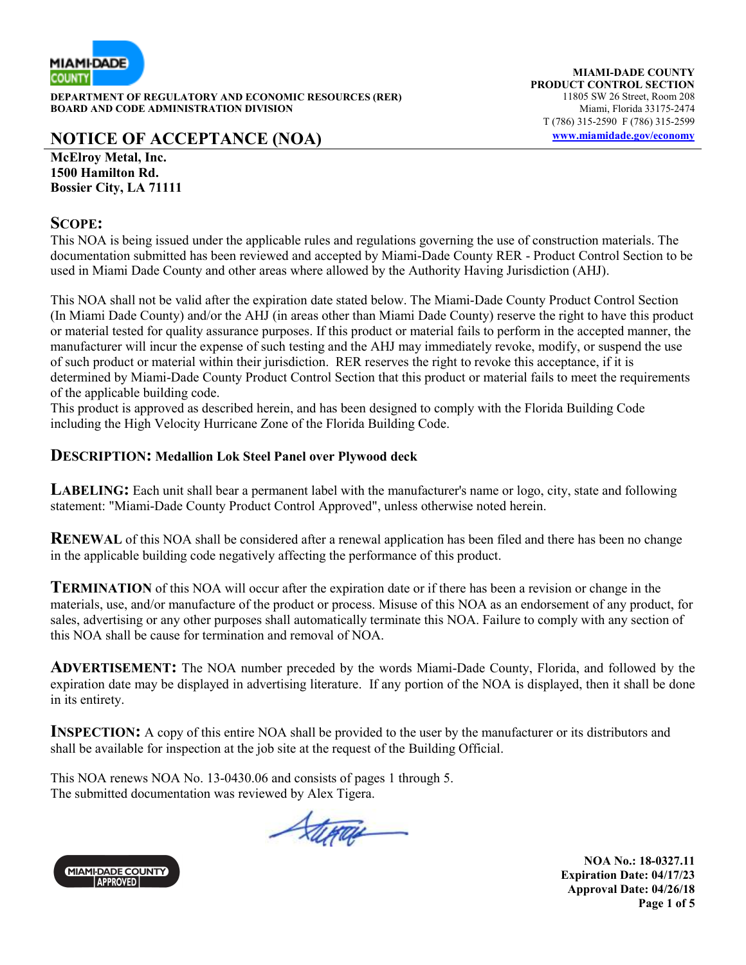

**DEPARTMENT OF REGULATORY AND ECONOMIC RESOURCES (RER) BOARD AND CODE ADMINISTRATION DIVISION Miami, Florida 33175-2474** 

## **NOTICE OF ACCEPTANCE (NOA) www.miamidade.gov/economy**

**MIAMI-DADE COUNTY PRODUCT CONTROL SECTION**<br>11805 SW 26 Street. Room 208 T (786) 315-2590 F (786) 315-2599

**McElroy Metal, Inc. 1500 Hamilton Rd. Bossier City, LA 71111** 

#### **SCOPE:**

This NOA is being issued under the applicable rules and regulations governing the use of construction materials. The documentation submitted has been reviewed and accepted by Miami-Dade County RER - Product Control Section to be used in Miami Dade County and other areas where allowed by the Authority Having Jurisdiction (AHJ).

This NOA shall not be valid after the expiration date stated below. The Miami-Dade County Product Control Section (In Miami Dade County) and/or the AHJ (in areas other than Miami Dade County) reserve the right to have this product or material tested for quality assurance purposes. If this product or material fails to perform in the accepted manner, the manufacturer will incur the expense of such testing and the AHJ may immediately revoke, modify, or suspend the use of such product or material within their jurisdiction. RER reserves the right to revoke this acceptance, if it is determined by Miami-Dade County Product Control Section that this product or material fails to meet the requirements of the applicable building code.

This product is approved as described herein, and has been designed to comply with the Florida Building Code including the High Velocity Hurricane Zone of the Florida Building Code.

#### **DESCRIPTION: Medallion Lok Steel Panel over Plywood deck**

**LABELING:** Each unit shall bear a permanent label with the manufacturer's name or logo, city, state and following statement: "Miami-Dade County Product Control Approved", unless otherwise noted herein.

**RENEWAL** of this NOA shall be considered after a renewal application has been filed and there has been no change in the applicable building code negatively affecting the performance of this product.

**TERMINATION** of this NOA will occur after the expiration date or if there has been a revision or change in the materials, use, and/or manufacture of the product or process. Misuse of this NOA as an endorsement of any product, for sales, advertising or any other purposes shall automatically terminate this NOA. Failure to comply with any section of this NOA shall be cause for termination and removal of NOA.

**ADVERTISEMENT:** The NOA number preceded by the words Miami-Dade County, Florida, and followed by the expiration date may be displayed in advertising literature. If any portion of the NOA is displayed, then it shall be done in its entirety.

**INSPECTION:** A copy of this entire NOA shall be provided to the user by the manufacturer or its distributors and shall be available for inspection at the job site at the request of the Building Official.

This NOA renews NOA No. 13-0430.06 and consists of pages 1 through 5. The submitted documentation was reviewed by Alex Tigera.

Stera



**NOA No.: 18-0327.11 Expiration Date: 04/17/23 Approval Date: 04/26/18 Page 1 of 5**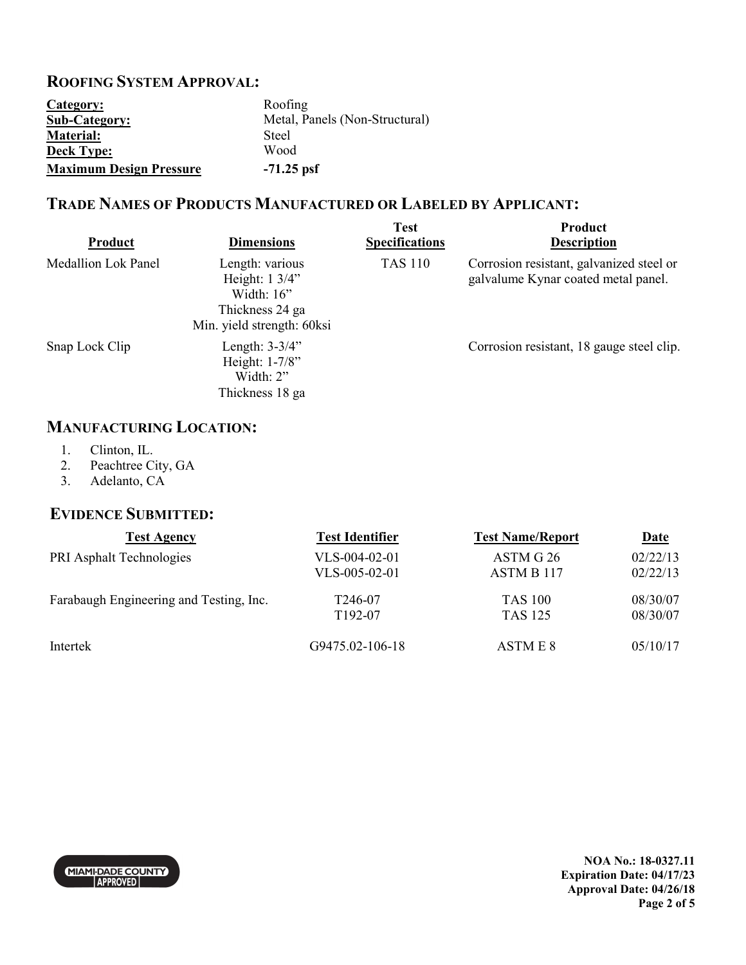### **ROOFING SYSTEM APPROVAL:**

| Category:                      | Roofing                        |
|--------------------------------|--------------------------------|
| <b>Sub-Category:</b>           | Metal, Panels (Non-Structural) |
| <b>Material:</b>               | Steel                          |
| <b>Deck Type:</b>              | Wood                           |
| <b>Maximum Design Pressure</b> | $-71.25$ psf                   |

## **TRADE NAMES OF PRODUCTS MANUFACTURED OR LABELED BY APPLICANT:**

| Product                    | <b>Dimensions</b>                                                                                            | <b>Test</b><br><b>Specifications</b> | Product<br><b>Description</b>                                                   |
|----------------------------|--------------------------------------------------------------------------------------------------------------|--------------------------------------|---------------------------------------------------------------------------------|
| <b>Medallion Lok Panel</b> | Length: various<br>Height: $1 \frac{3}{4}$<br>Width: $16$ "<br>Thickness 24 ga<br>Min. yield strength: 60ksi | <b>TAS 110</b>                       | Corrosion resistant, galvanized steel or<br>galvalume Kynar coated metal panel. |
| Snap Lock Clip             | Length: $3-3/4$ "<br>Height: 1-7/8"<br>Width: $2$ "<br>Thickness 18 ga                                       |                                      | Corrosion resistant, 18 gauge steel clip.                                       |

## **MANUFACTURING LOCATION:**

- 1. Clinton, IL.<br>2. Peachtree Ci
- Peachtree City, GA
- 3. Adelanto, CA

#### **EVIDENCE SUBMITTED:**

| <b>Test Agency</b>                      | <b>Test Identifier</b> | <b>Test Name/Report</b> | <u>Date</u> |
|-----------------------------------------|------------------------|-------------------------|-------------|
| PRI Asphalt Technologies                | $VLS-004-02-01$        | ASTM G 26               | 02/22/13    |
|                                         | VLS-005-02-01          | ASTM B 117              | 02/22/13    |
| Farabaugh Engineering and Testing, Inc. | T246-07                | <b>TAS 100</b>          | 08/30/07    |
|                                         | T <sub>192</sub> -07   | <b>TAS 125</b>          | 08/30/07    |
| Intertek                                | G9475.02-106-18        | ASTM E 8                | 05/10/17    |



**NOA No.: 18-0327.11 Expiration Date: 04/17/23 Approval Date: 04/26/18 Page 2 of 5**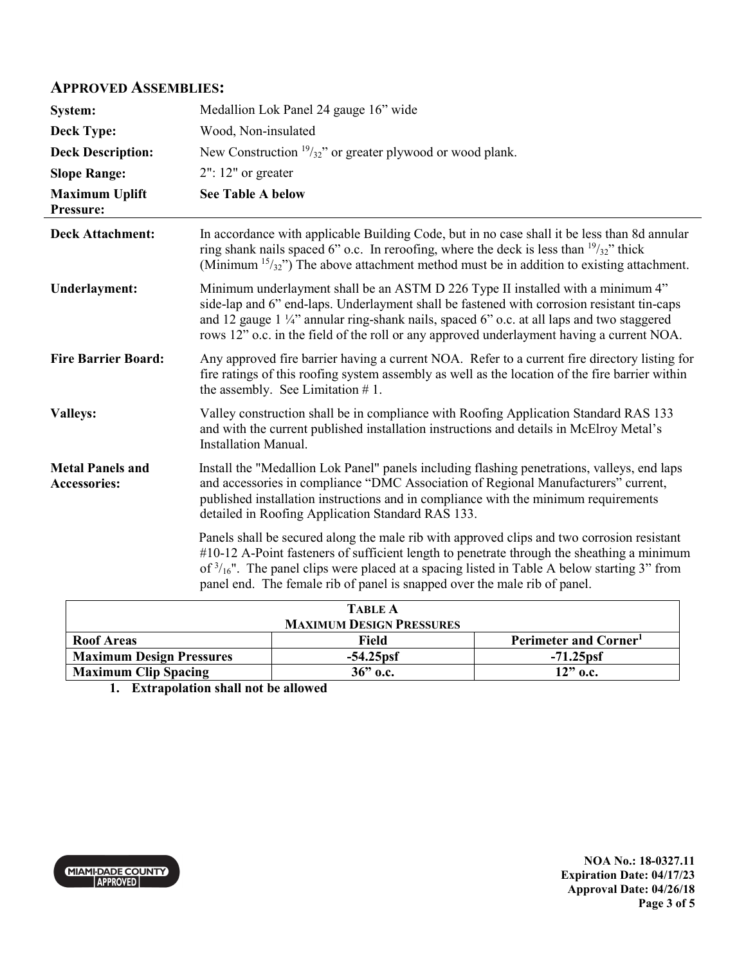#### **APPROVED ASSEMBLIES:**

| System:                                        | Medallion Lok Panel 24 gauge 16" wide                                                                                                                                                                                                                                                                                                                                           |
|------------------------------------------------|---------------------------------------------------------------------------------------------------------------------------------------------------------------------------------------------------------------------------------------------------------------------------------------------------------------------------------------------------------------------------------|
| <b>Deck Type:</b>                              | Wood, Non-insulated                                                                                                                                                                                                                                                                                                                                                             |
| <b>Deck Description:</b>                       | New Construction $\frac{19}{32}$ " or greater plywood or wood plank.                                                                                                                                                                                                                                                                                                            |
| <b>Slope Range:</b>                            | $2"$ : 12" or greater                                                                                                                                                                                                                                                                                                                                                           |
| <b>Maximum Uplift</b><br>Pressure:             | <b>See Table A below</b>                                                                                                                                                                                                                                                                                                                                                        |
| <b>Deck Attachment:</b>                        | In accordance with applicable Building Code, but in no case shall it be less than 8d annular<br>ring shank nails spaced 6" o.c. In reroofing, where the deck is less than $\frac{19}{32}$ " thick<br>(Minimum $15/32$ ) The above attachment method must be in addition to existing attachment.                                                                                 |
| <b>Underlayment:</b>                           | Minimum underlayment shall be an ASTM D 226 Type II installed with a minimum 4"<br>side-lap and 6" end-laps. Underlayment shall be fastened with corrosion resistant tin-caps<br>and 12 gauge 1 1/4" annular ring-shank nails, spaced 6" o.c. at all laps and two staggered<br>rows 12" o.c. in the field of the roll or any approved underlayment having a current NOA.        |
| <b>Fire Barrier Board:</b>                     | Any approved fire barrier having a current NOA. Refer to a current fire directory listing for<br>fire ratings of this roofing system assembly as well as the location of the fire barrier within<br>the assembly. See Limitation $# 1$ .                                                                                                                                        |
| <b>Valleys:</b>                                | Valley construction shall be in compliance with Roofing Application Standard RAS 133<br>and with the current published installation instructions and details in McElroy Metal's<br><b>Installation Manual.</b>                                                                                                                                                                  |
| <b>Metal Panels and</b><br><b>Accessories:</b> | Install the "Medallion Lok Panel" panels including flashing penetrations, valleys, end laps<br>and accessories in compliance "DMC Association of Regional Manufacturers" current,<br>published installation instructions and in compliance with the minimum requirements<br>detailed in Roofing Application Standard RAS 133.                                                   |
|                                                | Panels shall be secured along the male rib with approved clips and two corrosion resistant<br>#10-12 A-Point fasteners of sufficient length to penetrate through the sheathing a minimum<br>of $\frac{3}{16}$ ". The panel clips were placed at a spacing listed in Table A below starting 3" from<br>panel end. The female rib of panel is snapped over the male rib of panel. |
|                                                |                                                                                                                                                                                                                                                                                                                                                                                 |

| <b>TABLE A</b>                  |             |                                   |
|---------------------------------|-------------|-----------------------------------|
| <b>MAXIMUM DESIGN PRESSURES</b> |             |                                   |
| <b>Roof Areas</b>               | Field       | Perimeter and Corner <sup>1</sup> |
| <b>Maximum Design Pressures</b> | $-54.25psf$ | $-71.25psf$                       |
| <b>Maximum Clip Spacing</b>     | $36"$ o.c.  | $12"$ o.c.                        |

**1. Extrapolation shall not be allowed**

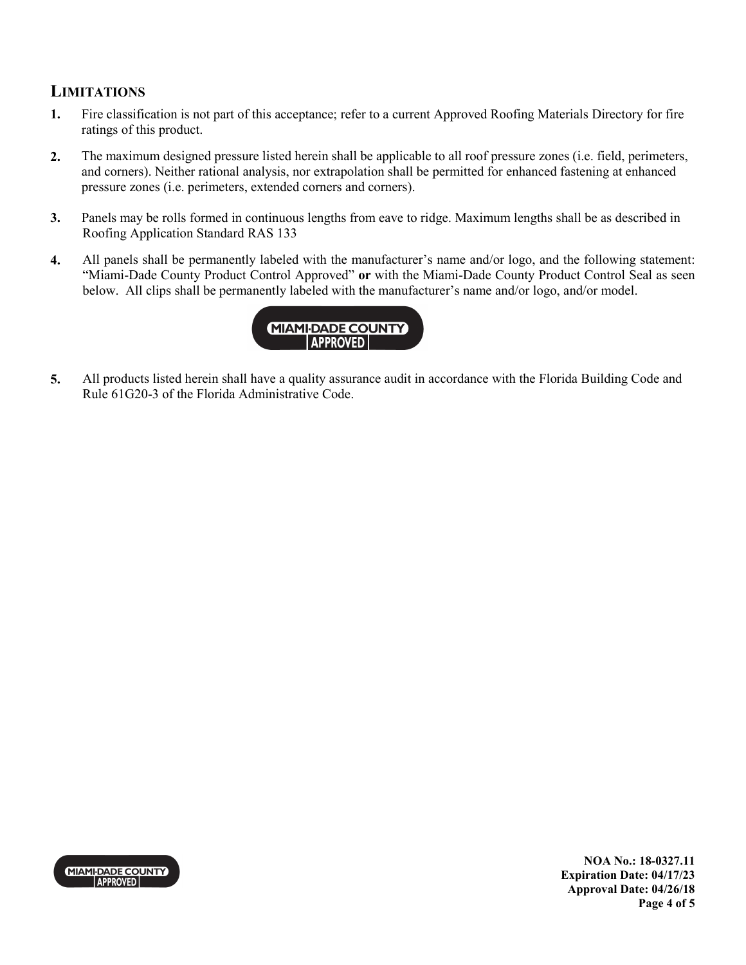## **LIMITATIONS**

- **1.** Fire classification is not part of this acceptance; refer to a current Approved Roofing Materials Directory for fire ratings of this product.
- **2.** The maximum designed pressure listed herein shall be applicable to all roof pressure zones (i.e. field, perimeters, and corners). Neither rational analysis, nor extrapolation shall be permitted for enhanced fastening at enhanced pressure zones (i.e. perimeters, extended corners and corners).
- **3.** Panels may be rolls formed in continuous lengths from eave to ridge. Maximum lengths shall be as described in Roofing Application Standard RAS 133
- **4.** All panels shall be permanently labeled with the manufacturer's name and/or logo, and the following statement: "Miami-Dade County Product Control Approved" **or** with the Miami-Dade County Product Control Seal as seen below. All clips shall be permanently labeled with the manufacturer's name and/or logo, and/or model.



**5.** All products listed herein shall have a quality assurance audit in accordance with the Florida Building Code and Rule 61G20-3 of the Florida Administrative Code.